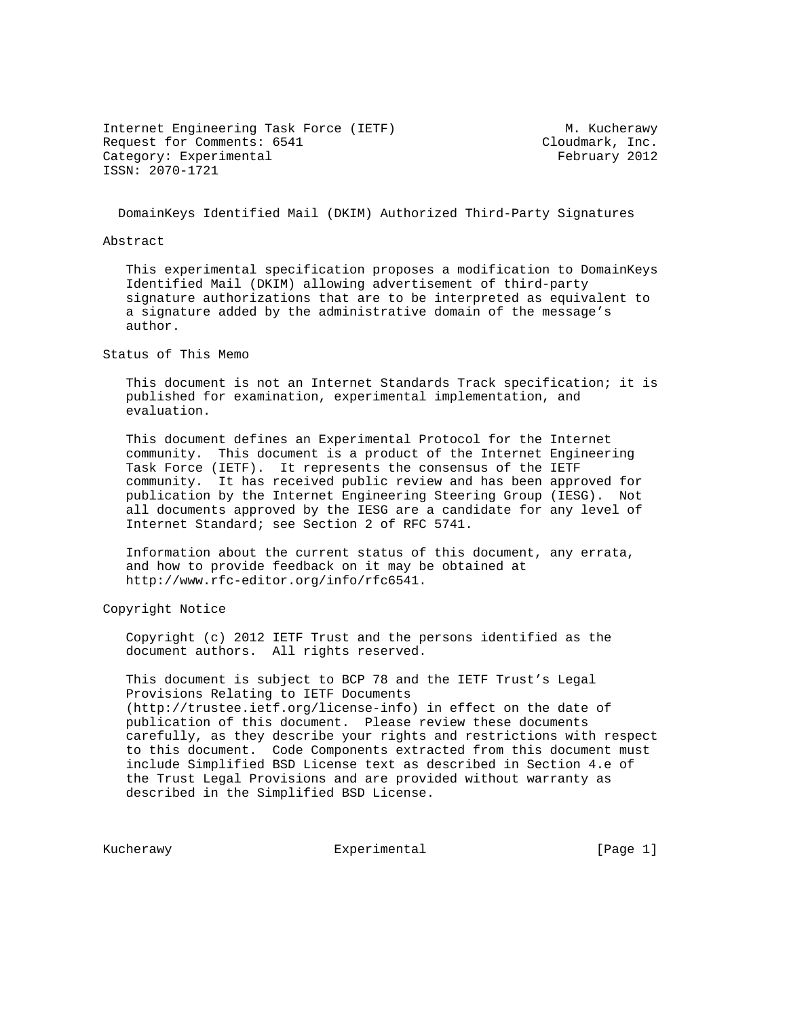Internet Engineering Task Force (IETF) M. Kucherawy Request for Comments: 6541 Cloudmark, Inc. Category: Experimental extending the Section of Tebruary 2012 ISSN: 2070-1721

DomainKeys Identified Mail (DKIM) Authorized Third-Party Signatures

Abstract

 This experimental specification proposes a modification to DomainKeys Identified Mail (DKIM) allowing advertisement of third-party signature authorizations that are to be interpreted as equivalent to a signature added by the administrative domain of the message's author.

Status of This Memo

 This document is not an Internet Standards Track specification; it is published for examination, experimental implementation, and evaluation.

 This document defines an Experimental Protocol for the Internet community. This document is a product of the Internet Engineering Task Force (IETF). It represents the consensus of the IETF community. It has received public review and has been approved for publication by the Internet Engineering Steering Group (IESG). Not all documents approved by the IESG are a candidate for any level of Internet Standard; see Section 2 of RFC 5741.

 Information about the current status of this document, any errata, and how to provide feedback on it may be obtained at http://www.rfc-editor.org/info/rfc6541.

Copyright Notice

 Copyright (c) 2012 IETF Trust and the persons identified as the document authors. All rights reserved.

 This document is subject to BCP 78 and the IETF Trust's Legal Provisions Relating to IETF Documents (http://trustee.ietf.org/license-info) in effect on the date of publication of this document. Please review these documents carefully, as they describe your rights and restrictions with respect to this document. Code Components extracted from this document must include Simplified BSD License text as described in Section 4.e of the Trust Legal Provisions and are provided without warranty as described in the Simplified BSD License.

Kucherawy **Experimental** Experimental [Page 1]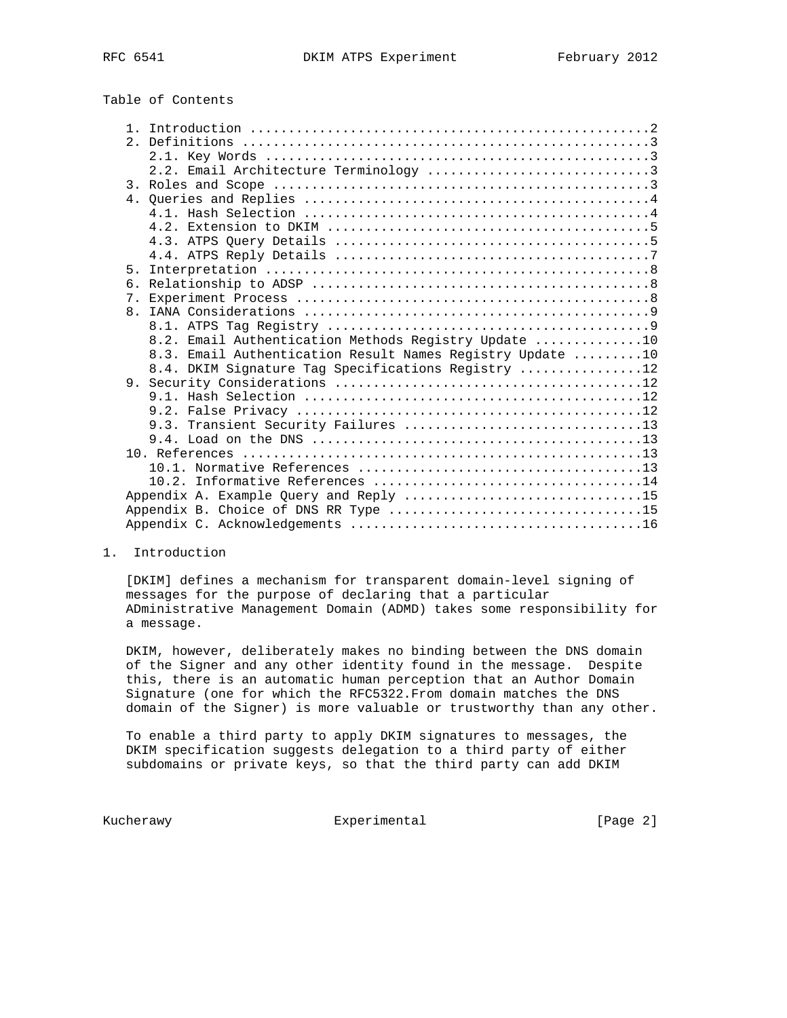Table of Contents

|    | 2.2. Email Architecture Terminology 3                     |
|----|-----------------------------------------------------------|
|    |                                                           |
|    |                                                           |
|    |                                                           |
|    |                                                           |
|    |                                                           |
|    |                                                           |
| 5. |                                                           |
| б. |                                                           |
|    |                                                           |
|    |                                                           |
|    |                                                           |
|    | 8.2. Email Authentication Methods Registry Update 10      |
|    |                                                           |
|    |                                                           |
|    | 8.3. Email Authentication Result Names Registry Update 10 |
|    | 8.4. DKIM Signature Tag Specifications Registry 12        |
|    |                                                           |
|    |                                                           |
|    | 9.3. Transient Security Failures 13                       |
|    |                                                           |
|    |                                                           |
|    |                                                           |
|    |                                                           |
|    | Appendix A. Example Query and Reply 15                    |
|    | Appendix B. Choice of DNS RR Type 15                      |

## 1. Introduction

 [DKIM] defines a mechanism for transparent domain-level signing of messages for the purpose of declaring that a particular ADministrative Management Domain (ADMD) takes some responsibility for a message.

 DKIM, however, deliberately makes no binding between the DNS domain of the Signer and any other identity found in the message. Despite this, there is an automatic human perception that an Author Domain Signature (one for which the RFC5322.From domain matches the DNS domain of the Signer) is more valuable or trustworthy than any other.

 To enable a third party to apply DKIM signatures to messages, the DKIM specification suggests delegation to a third party of either subdomains or private keys, so that the third party can add DKIM

Kucherawy **Experimental** Experimental [Page 2]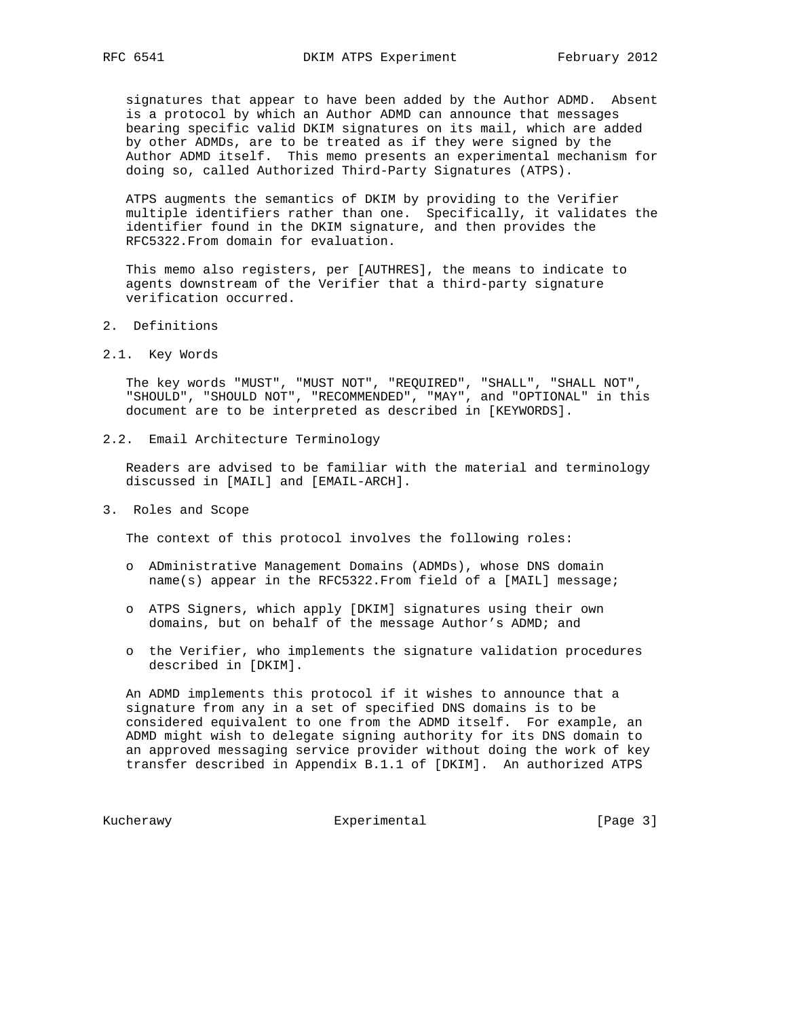signatures that appear to have been added by the Author ADMD. Absent is a protocol by which an Author ADMD can announce that messages bearing specific valid DKIM signatures on its mail, which are added by other ADMDs, are to be treated as if they were signed by the Author ADMD itself. This memo presents an experimental mechanism for doing so, called Authorized Third-Party Signatures (ATPS).

 ATPS augments the semantics of DKIM by providing to the Verifier multiple identifiers rather than one. Specifically, it validates the identifier found in the DKIM signature, and then provides the RFC5322.From domain for evaluation.

 This memo also registers, per [AUTHRES], the means to indicate to agents downstream of the Verifier that a third-party signature verification occurred.

- 2. Definitions
- 2.1. Key Words

 The key words "MUST", "MUST NOT", "REQUIRED", "SHALL", "SHALL NOT", "SHOULD", "SHOULD NOT", "RECOMMENDED", "MAY", and "OPTIONAL" in this document are to be interpreted as described in [KEYWORDS].

2.2. Email Architecture Terminology

 Readers are advised to be familiar with the material and terminology discussed in [MAIL] and [EMAIL-ARCH].

3. Roles and Scope

The context of this protocol involves the following roles:

- o ADministrative Management Domains (ADMDs), whose DNS domain name(s) appear in the RFC5322.From field of a [MAIL] message;
- o ATPS Signers, which apply [DKIM] signatures using their own domains, but on behalf of the message Author's ADMD; and
- o the Verifier, who implements the signature validation procedures described in [DKIM].

 An ADMD implements this protocol if it wishes to announce that a signature from any in a set of specified DNS domains is to be considered equivalent to one from the ADMD itself. For example, an ADMD might wish to delegate signing authority for its DNS domain to an approved messaging service provider without doing the work of key transfer described in Appendix B.1.1 of [DKIM]. An authorized ATPS

Kucherawy **Experimental** Experimental [Page 3]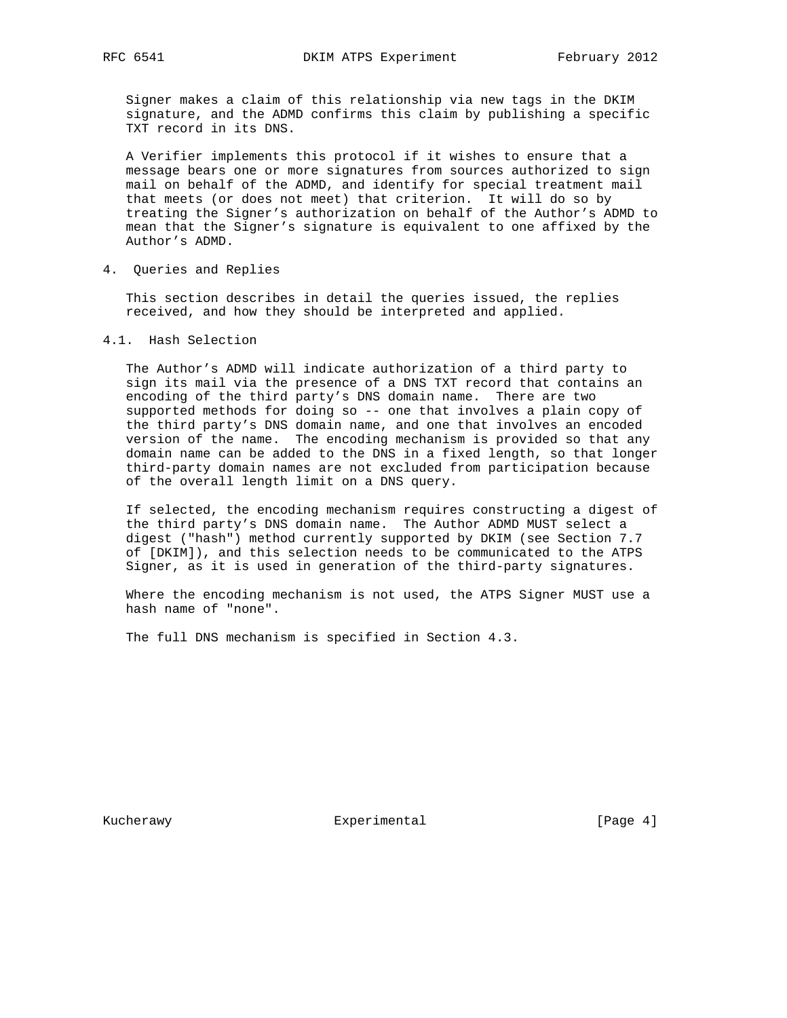Signer makes a claim of this relationship via new tags in the DKIM signature, and the ADMD confirms this claim by publishing a specific TXT record in its DNS.

 A Verifier implements this protocol if it wishes to ensure that a message bears one or more signatures from sources authorized to sign mail on behalf of the ADMD, and identify for special treatment mail that meets (or does not meet) that criterion. It will do so by treating the Signer's authorization on behalf of the Author's ADMD to mean that the Signer's signature is equivalent to one affixed by the Author's ADMD.

4. Queries and Replies

 This section describes in detail the queries issued, the replies received, and how they should be interpreted and applied.

4.1. Hash Selection

 The Author's ADMD will indicate authorization of a third party to sign its mail via the presence of a DNS TXT record that contains an encoding of the third party's DNS domain name. There are two supported methods for doing so -- one that involves a plain copy of the third party's DNS domain name, and one that involves an encoded version of the name. The encoding mechanism is provided so that any domain name can be added to the DNS in a fixed length, so that longer third-party domain names are not excluded from participation because of the overall length limit on a DNS query.

 If selected, the encoding mechanism requires constructing a digest of the third party's DNS domain name. The Author ADMD MUST select a digest ("hash") method currently supported by DKIM (see Section 7.7 of [DKIM]), and this selection needs to be communicated to the ATPS Signer, as it is used in generation of the third-party signatures.

 Where the encoding mechanism is not used, the ATPS Signer MUST use a hash name of "none".

The full DNS mechanism is specified in Section 4.3.

Kucherawy **Experimental** Experimental [Page 4]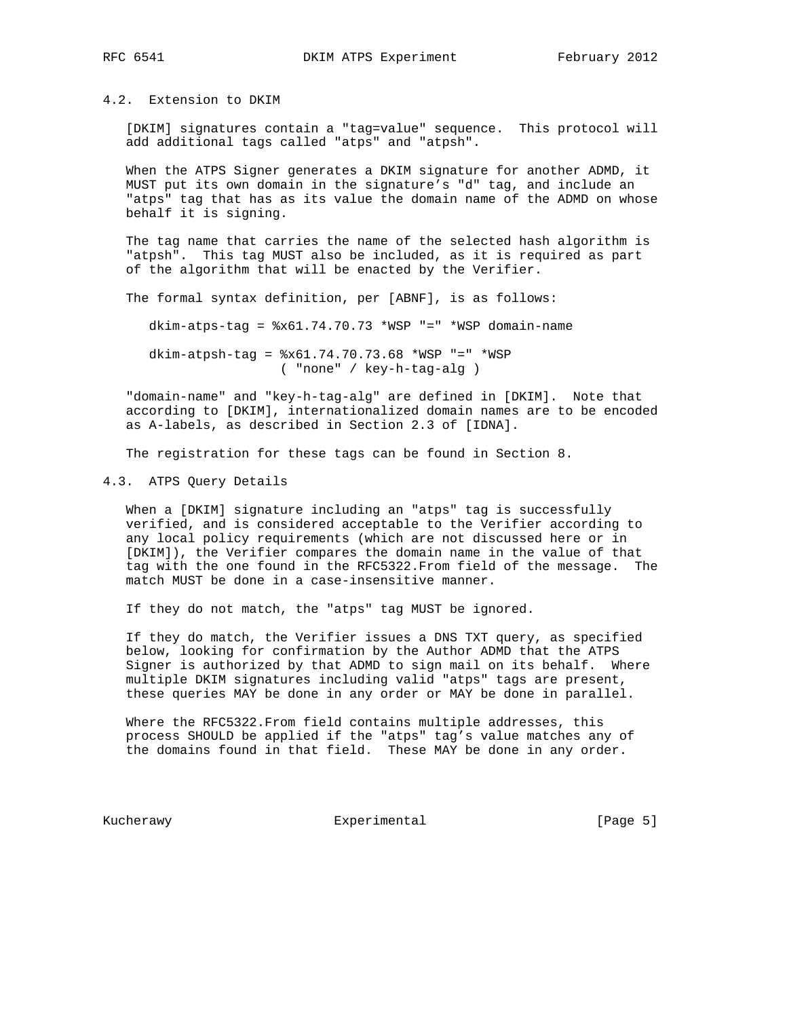4.2. Extension to DKIM

 [DKIM] signatures contain a "tag=value" sequence. This protocol will add additional tags called "atps" and "atpsh".

 When the ATPS Signer generates a DKIM signature for another ADMD, it MUST put its own domain in the signature's "d" tag, and include an "atps" tag that has as its value the domain name of the ADMD on whose behalf it is signing.

 The tag name that carries the name of the selected hash algorithm is "atpsh". This tag MUST also be included, as it is required as part of the algorithm that will be enacted by the Verifier.

The formal syntax definition, per [ABNF], is as follows:

dkim-atps-tag = %x61.74.70.73 \*WSP "=" \*WSP domain-name

 dkim-atpsh-tag = %x61.74.70.73.68 \*WSP "=" \*WSP ( "none" / key-h-tag-alg )

 "domain-name" and "key-h-tag-alg" are defined in [DKIM]. Note that according to [DKIM], internationalized domain names are to be encoded as A-labels, as described in Section 2.3 of [IDNA].

The registration for these tags can be found in Section 8.

## 4.3. ATPS Query Details

 When a [DKIM] signature including an "atps" tag is successfully verified, and is considered acceptable to the Verifier according to any local policy requirements (which are not discussed here or in [DKIM]), the Verifier compares the domain name in the value of that tag with the one found in the RFC5322.From field of the message. The match MUST be done in a case-insensitive manner.

If they do not match, the "atps" tag MUST be ignored.

 If they do match, the Verifier issues a DNS TXT query, as specified below, looking for confirmation by the Author ADMD that the ATPS Signer is authorized by that ADMD to sign mail on its behalf. Where multiple DKIM signatures including valid "atps" tags are present, these queries MAY be done in any order or MAY be done in parallel.

 Where the RFC5322.From field contains multiple addresses, this process SHOULD be applied if the "atps" tag's value matches any of the domains found in that field. These MAY be done in any order.

Kucherawy **Experimental** Experimental [Page 5]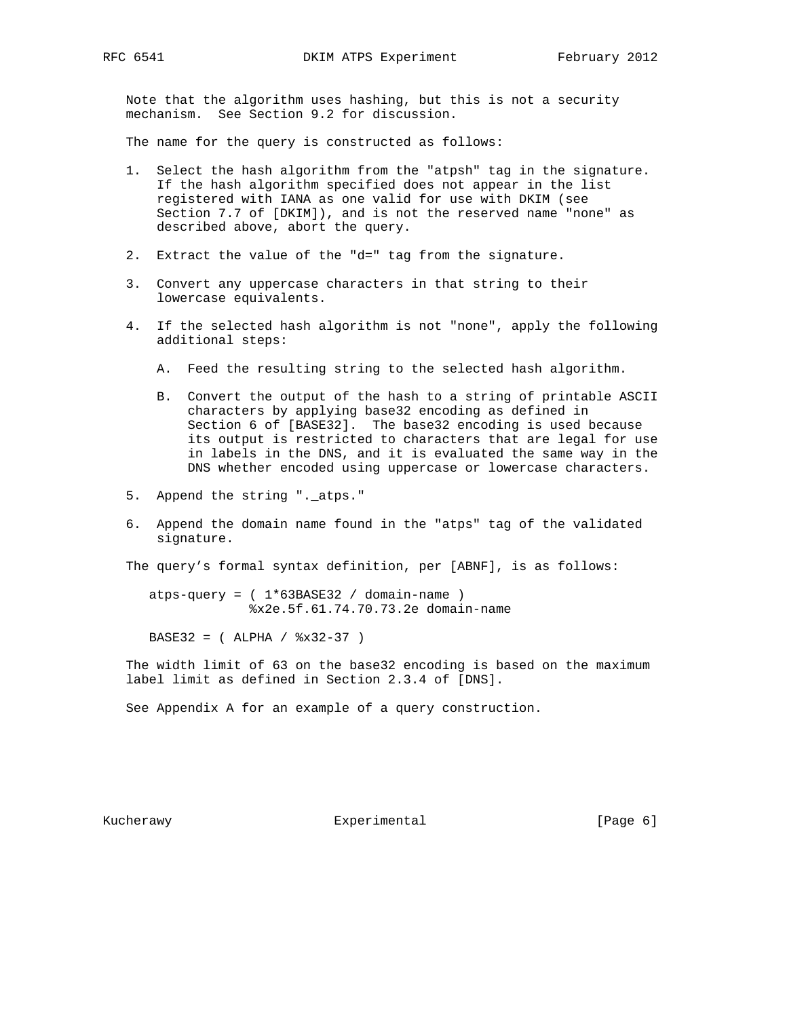Note that the algorithm uses hashing, but this is not a security mechanism. See Section 9.2 for discussion.

The name for the query is constructed as follows:

- 1. Select the hash algorithm from the "atpsh" tag in the signature. If the hash algorithm specified does not appear in the list registered with IANA as one valid for use with DKIM (see Section 7.7 of [DKIM]), and is not the reserved name "none" as described above, abort the query.
- 2. Extract the value of the "d=" tag from the signature.
- 3. Convert any uppercase characters in that string to their lowercase equivalents.
- 4. If the selected hash algorithm is not "none", apply the following additional steps:
	- A. Feed the resulting string to the selected hash algorithm.
	- B. Convert the output of the hash to a string of printable ASCII characters by applying base32 encoding as defined in Section 6 of [BASE32]. The base32 encoding is used because its output is restricted to characters that are legal for use in labels in the DNS, and it is evaluated the same way in the DNS whether encoded using uppercase or lowercase characters.
- 5. Append the string ".\_atps."
- 6. Append the domain name found in the "atps" tag of the validated signature.

The query's formal syntax definition, per [ABNF], is as follows:

 $atps-query = ( 1*63BASE32 / domain-name )$ %x2e.5f.61.74.70.73.2e domain-name

BASE32 = ( ALPHA / %x32-37 )

 The width limit of 63 on the base32 encoding is based on the maximum label limit as defined in Section 2.3.4 of [DNS].

See Appendix A for an example of a query construction.

Kucherawy **Experimental** Experimental [Page 6]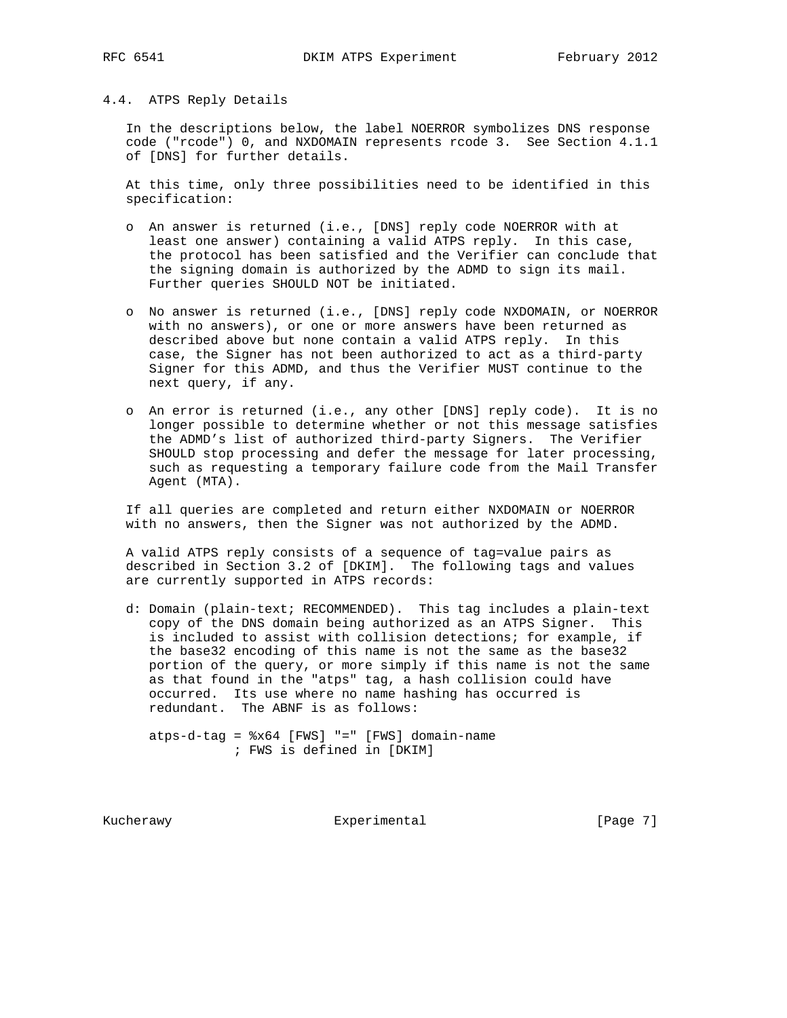## 4.4. ATPS Reply Details

 In the descriptions below, the label NOERROR symbolizes DNS response code ("rcode") 0, and NXDOMAIN represents rcode 3. See Section 4.1.1 of [DNS] for further details.

 At this time, only three possibilities need to be identified in this specification:

- o An answer is returned (i.e., [DNS] reply code NOERROR with at least one answer) containing a valid ATPS reply. In this case, the protocol has been satisfied and the Verifier can conclude that the signing domain is authorized by the ADMD to sign its mail. Further queries SHOULD NOT be initiated.
- o No answer is returned (i.e., [DNS] reply code NXDOMAIN, or NOERROR with no answers), or one or more answers have been returned as described above but none contain a valid ATPS reply. In this case, the Signer has not been authorized to act as a third-party Signer for this ADMD, and thus the Verifier MUST continue to the next query, if any.
- o An error is returned (i.e., any other [DNS] reply code). It is no longer possible to determine whether or not this message satisfies the ADMD's list of authorized third-party Signers. The Verifier SHOULD stop processing and defer the message for later processing, such as requesting a temporary failure code from the Mail Transfer Agent (MTA).

 If all queries are completed and return either NXDOMAIN or NOERROR with no answers, then the Signer was not authorized by the ADMD.

 A valid ATPS reply consists of a sequence of tag=value pairs as described in Section 3.2 of [DKIM]. The following tags and values are currently supported in ATPS records:

 d: Domain (plain-text; RECOMMENDED). This tag includes a plain-text copy of the DNS domain being authorized as an ATPS Signer. This is included to assist with collision detections; for example, if the base32 encoding of this name is not the same as the base32 portion of the query, or more simply if this name is not the same as that found in the "atps" tag, a hash collision could have occurred. Its use where no name hashing has occurred is redundant. The ABNF is as follows:

 atps-d-tag = %x64 [FWS] "=" [FWS] domain-name ; FWS is defined in [DKIM]

Kucherawy **Experimental** Experimental [Page 7]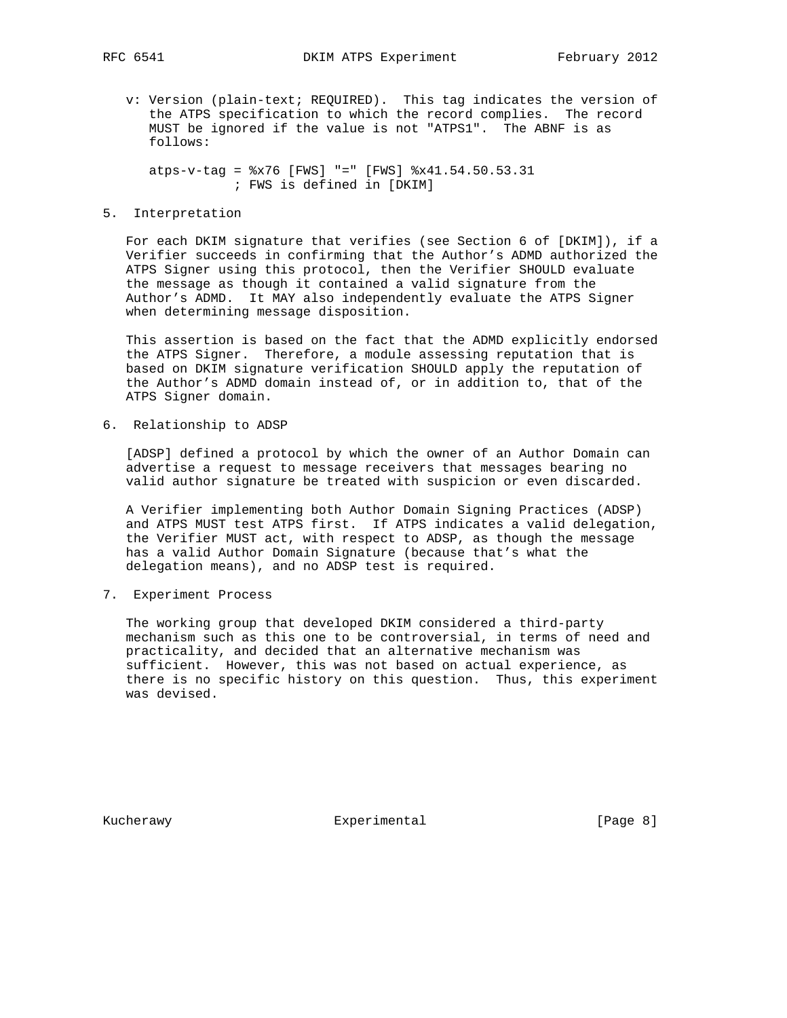v: Version (plain-text; REQUIRED). This tag indicates the version of the ATPS specification to which the record complies. The record MUST be ignored if the value is not "ATPS1". The ABNF is as follows:

 atps-v-tag = %x76 [FWS] "=" [FWS] %x41.54.50.53.31 ; FWS is defined in [DKIM]

# 5. Interpretation

 For each DKIM signature that verifies (see Section 6 of [DKIM]), if a Verifier succeeds in confirming that the Author's ADMD authorized the ATPS Signer using this protocol, then the Verifier SHOULD evaluate the message as though it contained a valid signature from the Author's ADMD. It MAY also independently evaluate the ATPS Signer when determining message disposition.

 This assertion is based on the fact that the ADMD explicitly endorsed the ATPS Signer. Therefore, a module assessing reputation that is based on DKIM signature verification SHOULD apply the reputation of the Author's ADMD domain instead of, or in addition to, that of the ATPS Signer domain.

6. Relationship to ADSP

 [ADSP] defined a protocol by which the owner of an Author Domain can advertise a request to message receivers that messages bearing no valid author signature be treated with suspicion or even discarded.

 A Verifier implementing both Author Domain Signing Practices (ADSP) and ATPS MUST test ATPS first. If ATPS indicates a valid delegation, the Verifier MUST act, with respect to ADSP, as though the message has a valid Author Domain Signature (because that's what the delegation means), and no ADSP test is required.

7. Experiment Process

 The working group that developed DKIM considered a third-party mechanism such as this one to be controversial, in terms of need and practicality, and decided that an alternative mechanism was sufficient. However, this was not based on actual experience, as there is no specific history on this question. Thus, this experiment was devised.

Kucherawy **Experimental** Experimental [Page 8]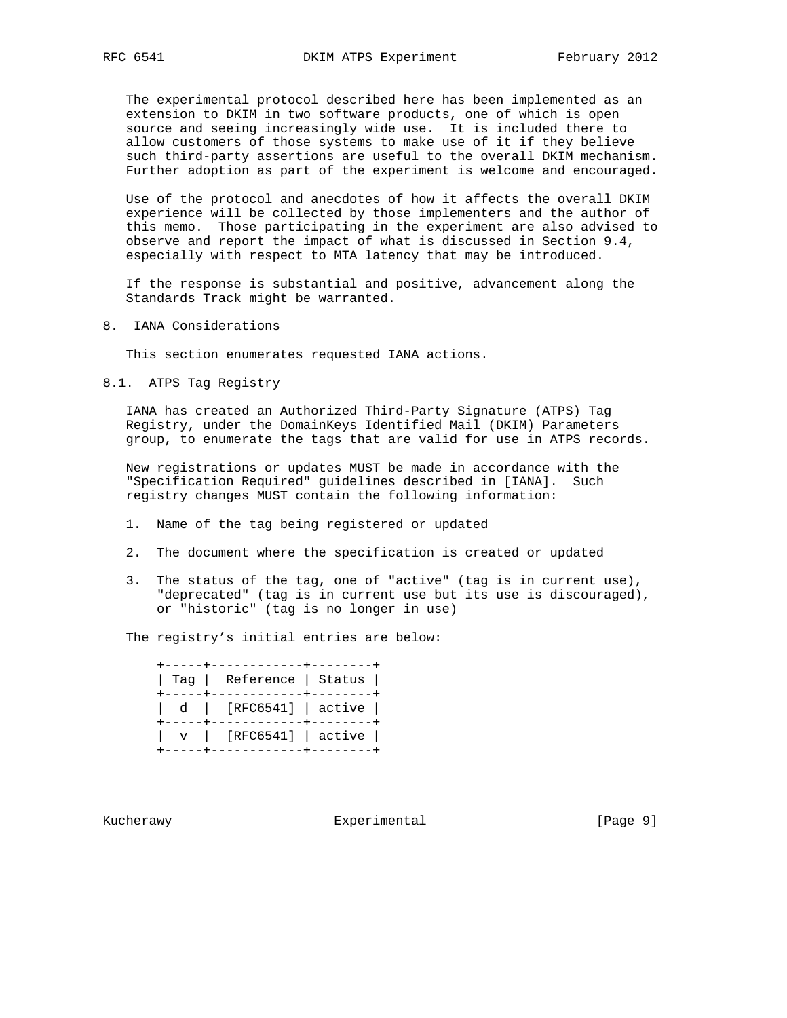The experimental protocol described here has been implemented as an extension to DKIM in two software products, one of which is open source and seeing increasingly wide use. It is included there to allow customers of those systems to make use of it if they believe such third-party assertions are useful to the overall DKIM mechanism. Further adoption as part of the experiment is welcome and encouraged.

 Use of the protocol and anecdotes of how it affects the overall DKIM experience will be collected by those implementers and the author of this memo. Those participating in the experiment are also advised to observe and report the impact of what is discussed in Section 9.4, especially with respect to MTA latency that may be introduced.

 If the response is substantial and positive, advancement along the Standards Track might be warranted.

8. IANA Considerations

This section enumerates requested IANA actions.

8.1. ATPS Tag Registry

 IANA has created an Authorized Third-Party Signature (ATPS) Tag Registry, under the DomainKeys Identified Mail (DKIM) Parameters group, to enumerate the tags that are valid for use in ATPS records.

 New registrations or updates MUST be made in accordance with the "Specification Required" guidelines described in [IANA]. Such registry changes MUST contain the following information:

- 1. Name of the tag being registered or updated
- 2. The document where the specification is created or updated
- 3. The status of the tag, one of "active" (tag is in current use), "deprecated" (tag is in current use but its use is discouraged), or "historic" (tag is no longer in use)

The registry's initial entries are below:

 +-----+------------+--------+ | Tag | Reference | Status | +-----+------------+--------+ | d | [RFC6541] | active | +-----+------------+--------+ | v | [RFC6541] | active | +-----+------------+--------+

Kucherawy **Experimental** Experimental [Page 9]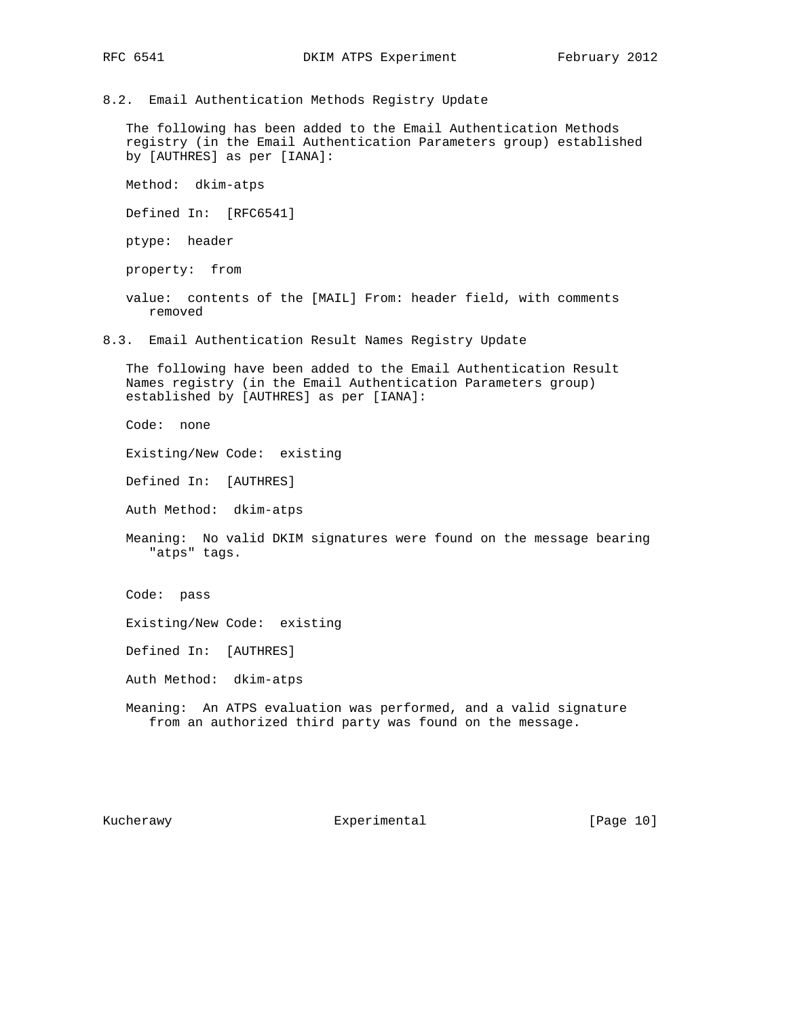8.2. Email Authentication Methods Registry Update

 The following has been added to the Email Authentication Methods registry (in the Email Authentication Parameters group) established by [AUTHRES] as per [IANA]:

Method: dkim-atps

Defined In: [RFC6541]

ptype: header

property: from

 value: contents of the [MAIL] From: header field, with comments removed

8.3. Email Authentication Result Names Registry Update

 The following have been added to the Email Authentication Result Names registry (in the Email Authentication Parameters group) established by [AUTHRES] as per [IANA]:

Code: none

Existing/New Code: existing

Defined In: [AUTHRES]

Auth Method: dkim-atps

 Meaning: No valid DKIM signatures were found on the message bearing "atps" tags.

Code: pass

Existing/New Code: existing

Defined In: [AUTHRES]

Auth Method: dkim-atps

 Meaning: An ATPS evaluation was performed, and a valid signature from an authorized third party was found on the message.

Kucherawy **Experimental** [Page 10]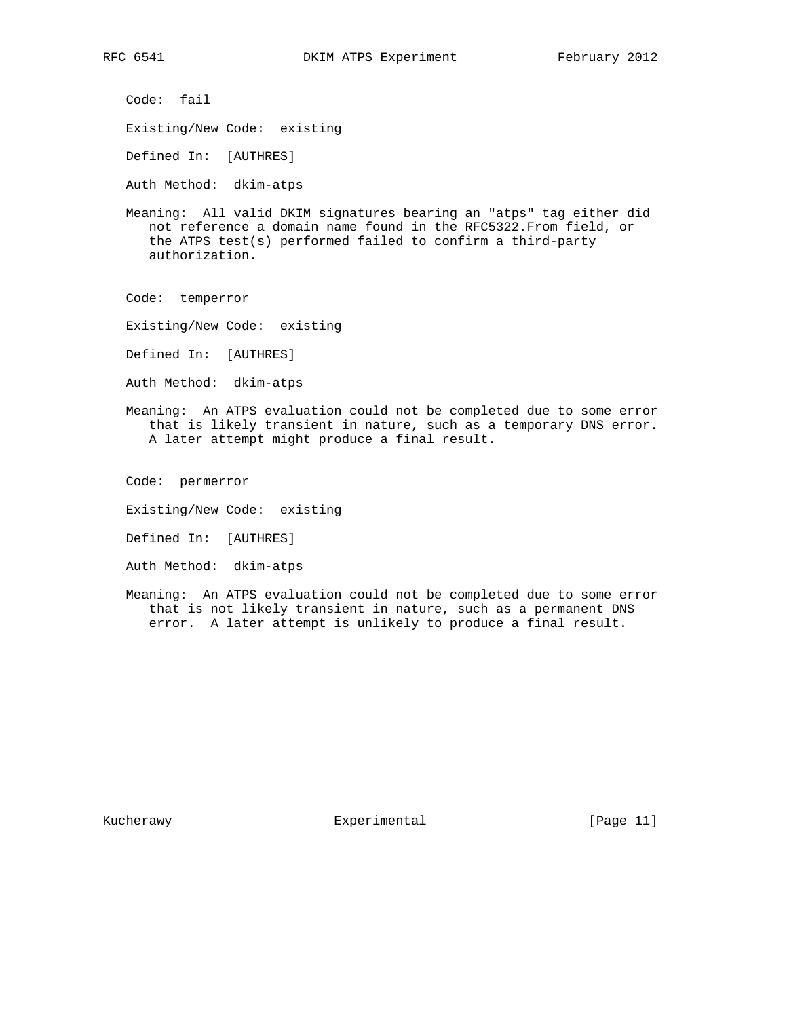Code: fail

Existing/New Code: existing

Defined In: [AUTHRES]

Auth Method: dkim-atps

 Meaning: All valid DKIM signatures bearing an "atps" tag either did not reference a domain name found in the RFC5322.From field, or the ATPS test(s) performed failed to confirm a third-party authorization.

Code: temperror

- Existing/New Code: existing
- Defined In: [AUTHRES]
- Auth Method: dkim-atps
- Meaning: An ATPS evaluation could not be completed due to some error that is likely transient in nature, such as a temporary DNS error. A later attempt might produce a final result.

Code: permerror

- Existing/New Code: existing
- Defined In: [AUTHRES]
- Auth Method: dkim-atps
- Meaning: An ATPS evaluation could not be completed due to some error that is not likely transient in nature, such as a permanent DNS error. A later attempt is unlikely to produce a final result.

Kucherawy **Experimental** [Page 11]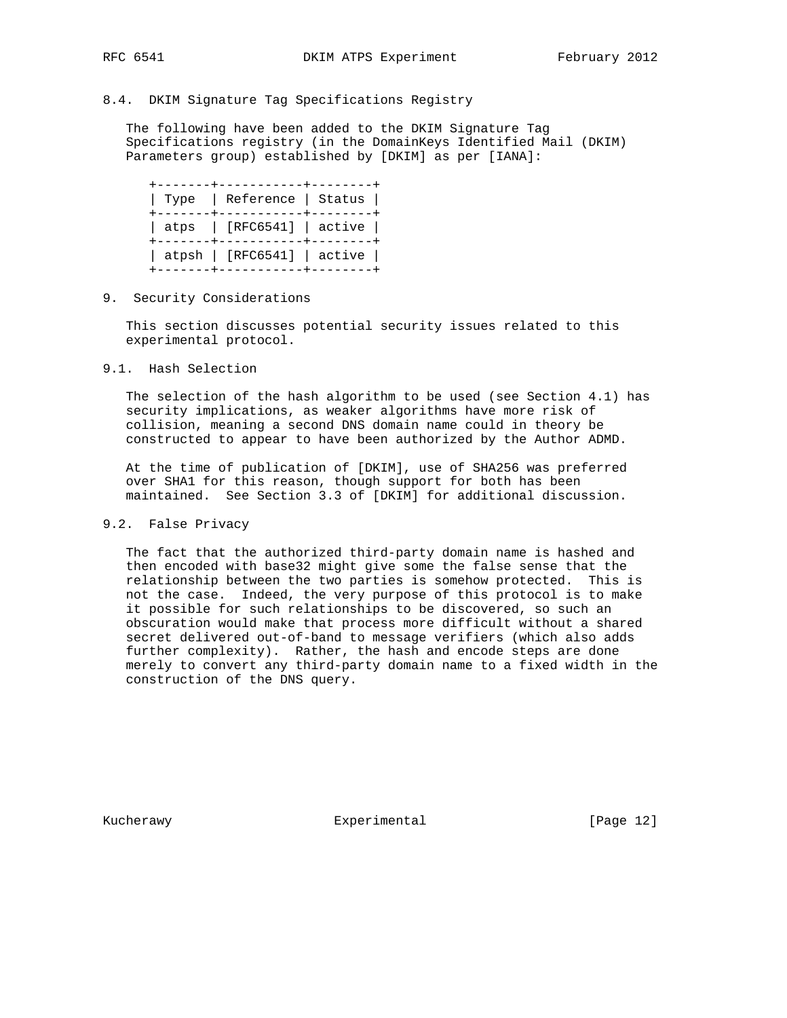# 8.4. DKIM Signature Tag Specifications Registry

 The following have been added to the DKIM Signature Tag Specifications registry (in the DomainKeys Identified Mail (DKIM) Parameters group) established by [DKIM] as per [IANA]:

 +-------+-----------+--------+ | Type | Reference | Status | +-------+-----------+--------+ | atps | [RFC6541] | active | +-------+-----------+--------+ | atpsh | [RFC6541] | active | +-------+-----------+--------+

9. Security Considerations

 This section discusses potential security issues related to this experimental protocol.

9.1. Hash Selection

 The selection of the hash algorithm to be used (see Section 4.1) has security implications, as weaker algorithms have more risk of collision, meaning a second DNS domain name could in theory be constructed to appear to have been authorized by the Author ADMD.

 At the time of publication of [DKIM], use of SHA256 was preferred over SHA1 for this reason, though support for both has been maintained. See Section 3.3 of [DKIM] for additional discussion.

## 9.2. False Privacy

 The fact that the authorized third-party domain name is hashed and then encoded with base32 might give some the false sense that the relationship between the two parties is somehow protected. This is not the case. Indeed, the very purpose of this protocol is to make it possible for such relationships to be discovered, so such an obscuration would make that process more difficult without a shared secret delivered out-of-band to message verifiers (which also adds further complexity). Rather, the hash and encode steps are done merely to convert any third-party domain name to a fixed width in the construction of the DNS query.

Kucherawy **Experimental** [Page 12]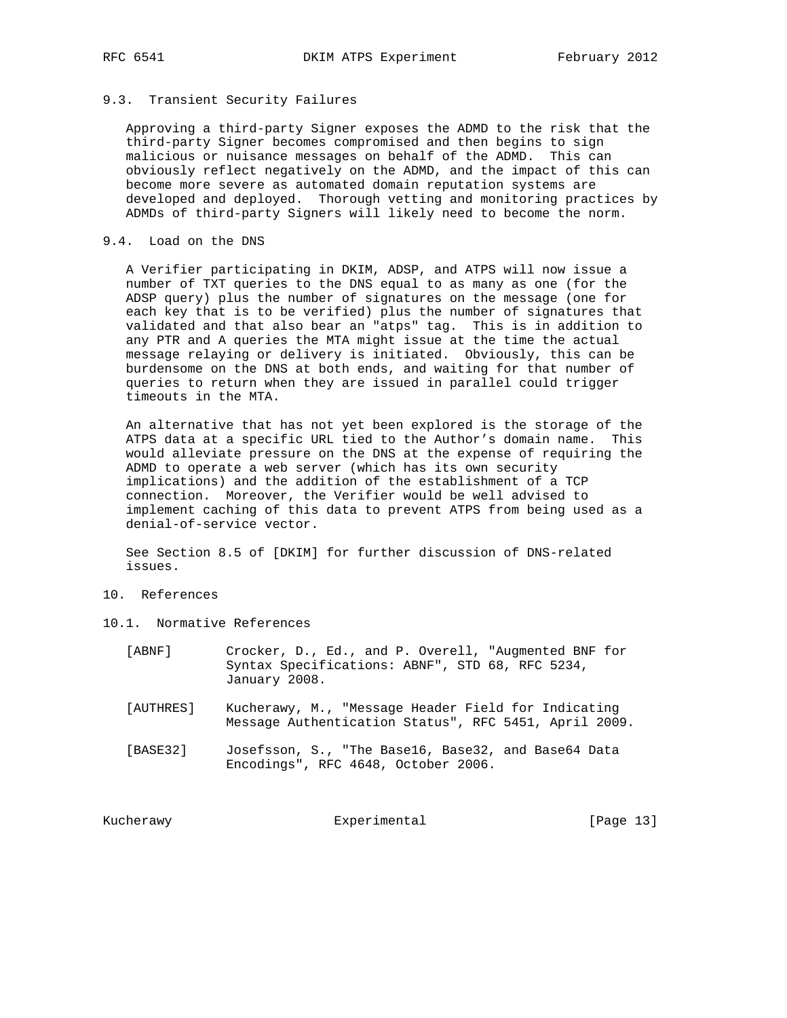# 9.3. Transient Security Failures

 Approving a third-party Signer exposes the ADMD to the risk that the third-party Signer becomes compromised and then begins to sign malicious or nuisance messages on behalf of the ADMD. This can obviously reflect negatively on the ADMD, and the impact of this can become more severe as automated domain reputation systems are developed and deployed. Thorough vetting and monitoring practices by ADMDs of third-party Signers will likely need to become the norm.

## 9.4. Load on the DNS

 A Verifier participating in DKIM, ADSP, and ATPS will now issue a number of TXT queries to the DNS equal to as many as one (for the ADSP query) plus the number of signatures on the message (one for each key that is to be verified) plus the number of signatures that validated and that also bear an "atps" tag. This is in addition to any PTR and A queries the MTA might issue at the time the actual message relaying or delivery is initiated. Obviously, this can be burdensome on the DNS at both ends, and waiting for that number of queries to return when they are issued in parallel could trigger timeouts in the MTA.

 An alternative that has not yet been explored is the storage of the ATPS data at a specific URL tied to the Author's domain name. This would alleviate pressure on the DNS at the expense of requiring the ADMD to operate a web server (which has its own security implications) and the addition of the establishment of a TCP connection. Moreover, the Verifier would be well advised to implement caching of this data to prevent ATPS from being used as a denial-of-service vector.

 See Section 8.5 of [DKIM] for further discussion of DNS-related issues.

- 10. References
- 10.1. Normative References
	- [ABNF] Crocker, D., Ed., and P. Overell, "Augmented BNF for Syntax Specifications: ABNF", STD 68, RFC 5234, January 2008.
	- [AUTHRES] Kucherawy, M., "Message Header Field for Indicating Message Authentication Status", RFC 5451, April 2009.
	- [BASE32] Josefsson, S., "The Base16, Base32, and Base64 Data Encodings", RFC 4648, October 2006.

Kucherawy **Experimental** Experimental [Page 13]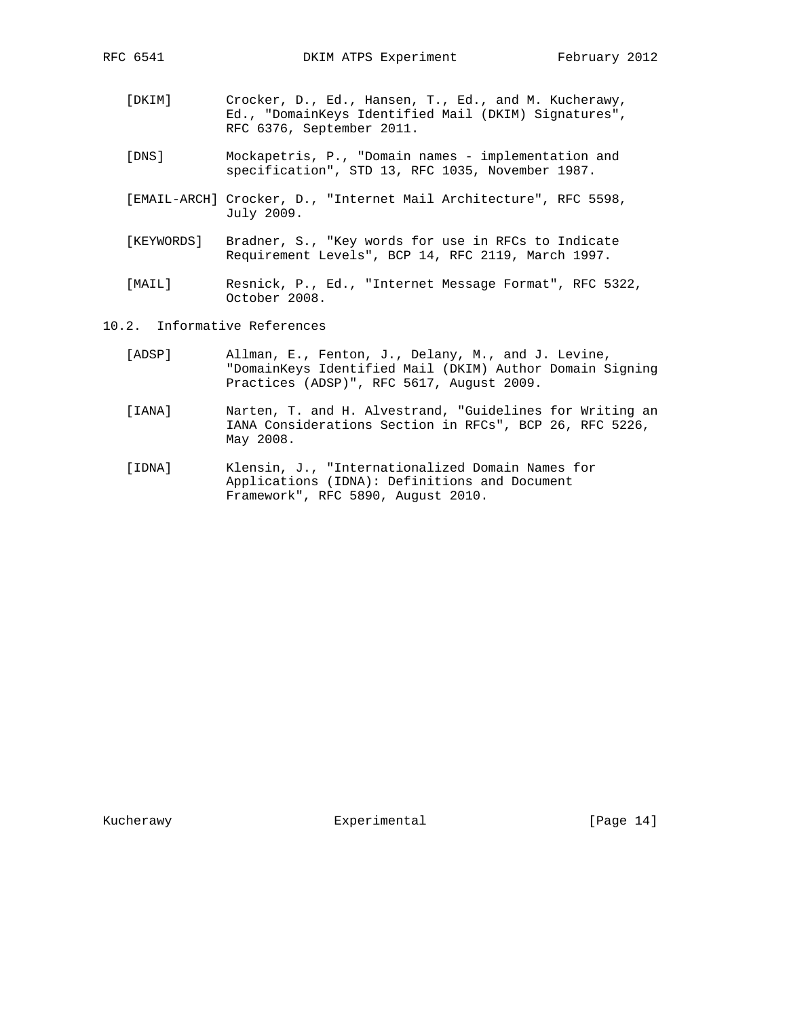- [DKIM] Crocker, D., Ed., Hansen, T., Ed., and M. Kucherawy, Ed., "DomainKeys Identified Mail (DKIM) Signatures", RFC 6376, September 2011.
- [DNS] Mockapetris, P., "Domain names implementation and specification", STD 13, RFC 1035, November 1987.
- [EMAIL-ARCH] Crocker, D., "Internet Mail Architecture", RFC 5598, July 2009.
- [KEYWORDS] Bradner, S., "Key words for use in RFCs to Indicate Requirement Levels", BCP 14, RFC 2119, March 1997.
- [MAIL] Resnick, P., Ed., "Internet Message Format", RFC 5322, October 2008.
- 10.2. Informative References
	- [ADSP] Allman, E., Fenton, J., Delany, M., and J. Levine, "DomainKeys Identified Mail (DKIM) Author Domain Signing Practices (ADSP)", RFC 5617, August 2009.
	- [IANA] Narten, T. and H. Alvestrand, "Guidelines for Writing an IANA Considerations Section in RFCs", BCP 26, RFC 5226, May 2008.
	- [IDNA] Klensin, J., "Internationalized Domain Names for Applications (IDNA): Definitions and Document Framework", RFC 5890, August 2010.

Kucherawy **Experimental** [Page 14]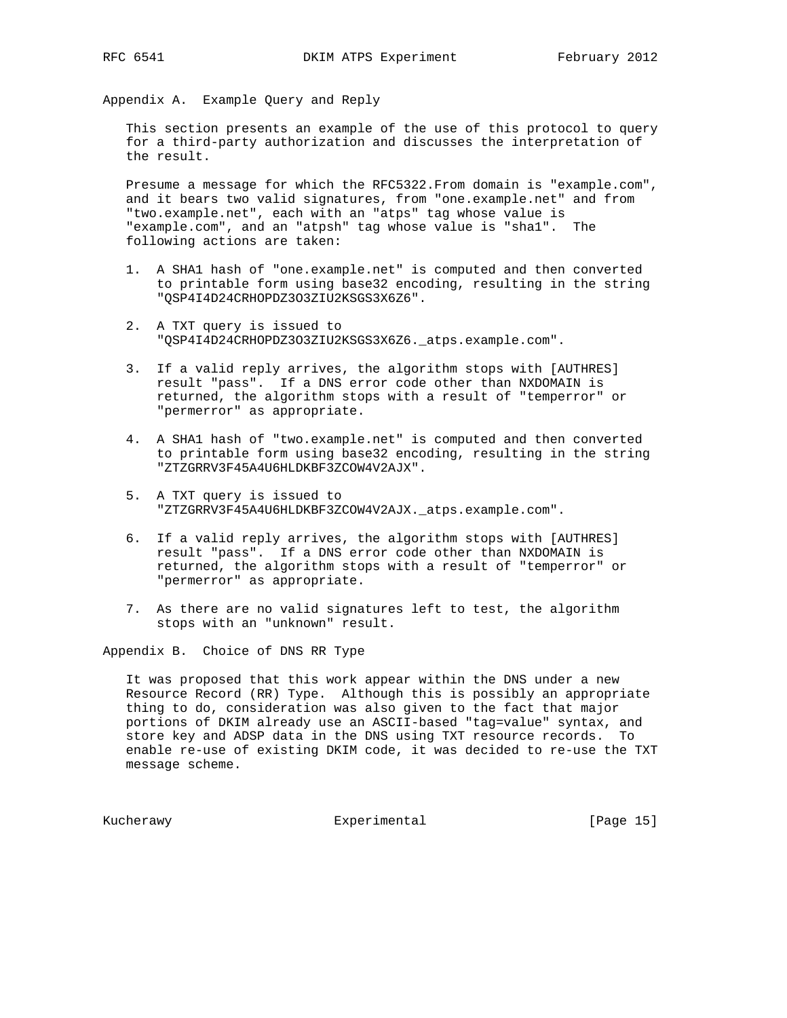Appendix A. Example Query and Reply

 This section presents an example of the use of this protocol to query for a third-party authorization and discusses the interpretation of the result.

 Presume a message for which the RFC5322.From domain is "example.com", and it bears two valid signatures, from "one.example.net" and from "two.example.net", each with an "atps" tag whose value is "example.com", and an "atpsh" tag whose value is "sha1". The following actions are taken:

- 1. A SHA1 hash of "one.example.net" is computed and then converted to printable form using base32 encoding, resulting in the string "QSP4I4D24CRHOPDZ3O3ZIU2KSGS3X6Z6".
- 2. A TXT query is issued to "QSP4I4D24CRHOPDZ3O3ZIU2KSGS3X6Z6.\_atps.example.com".
- 3. If a valid reply arrives, the algorithm stops with [AUTHRES] result "pass". If a DNS error code other than NXDOMAIN is returned, the algorithm stops with a result of "temperror" or "permerror" as appropriate.
- 4. A SHA1 hash of "two.example.net" is computed and then converted to printable form using base32 encoding, resulting in the string "ZTZGRRV3F45A4U6HLDKBF3ZCOW4V2AJX".
- 5. A TXT query is issued to "ZTZGRRV3F45A4U6HLDKBF3ZCOW4V2AJX.\_atps.example.com".
- 6. If a valid reply arrives, the algorithm stops with [AUTHRES] result "pass". If a DNS error code other than NXDOMAIN is returned, the algorithm stops with a result of "temperror" or "permerror" as appropriate.
- 7. As there are no valid signatures left to test, the algorithm stops with an "unknown" result.

Appendix B. Choice of DNS RR Type

 It was proposed that this work appear within the DNS under a new Resource Record (RR) Type. Although this is possibly an appropriate thing to do, consideration was also given to the fact that major portions of DKIM already use an ASCII-based "tag=value" syntax, and store key and ADSP data in the DNS using TXT resource records. To enable re-use of existing DKIM code, it was decided to re-use the TXT message scheme.

Kucherawy **Experimental** Experimental [Page 15]